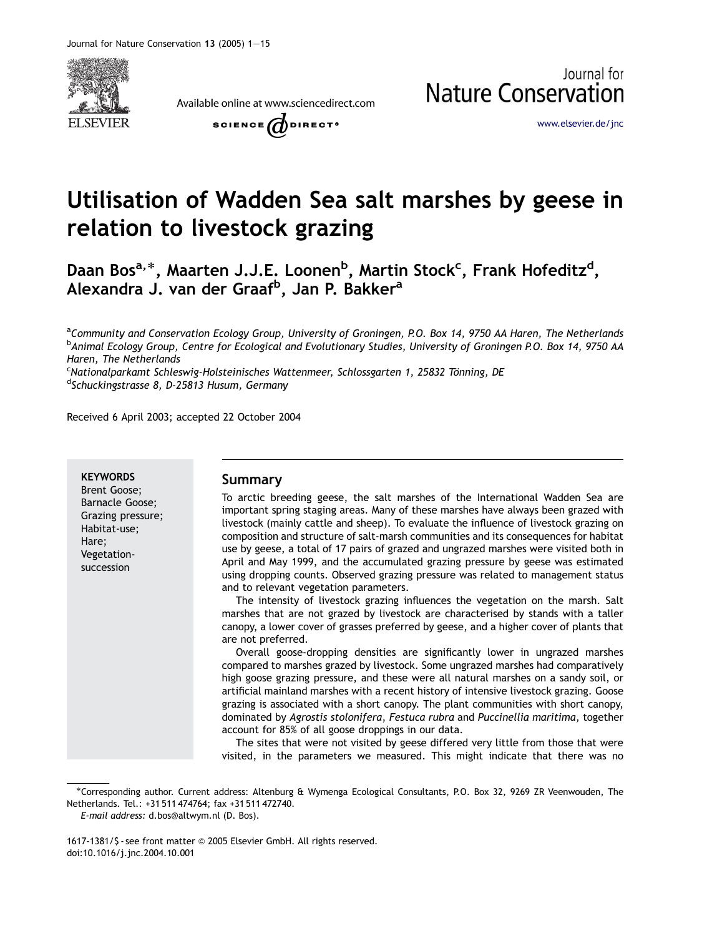

Available online at www.sciencedirect.com

**Nature Conservation** SCIENCE  $\omega$  direct<sup>®</sup>

<www.elsevier.de/jnc>

Journal for

# Utilisation of Wadden Sea salt marshes by geese in relation to livestock grazing

Daan Bos<sup>a,</sup>\*, Maarten J.J.E. Loonen<sup>b</sup>, Martin Stock<sup>c</sup>, Frank Hofeditz<sup>d</sup>, Alexandra J. van der Graaf<sup>b</sup>, Jan P. Bakker<sup>a</sup>

<sup>a</sup>Community and Conservation Ecology Group, University of Groningen, P.O. Box 14, 9750 AA Haren, The Netherlands <sup>b</sup>Animal Ecology Group, Centre for Ecological and Evolutionary Studies, University of Groningen P.O. Box 14, 9750 AA Haren, The Netherlands

<sup>c</sup>Nationalparkamt Schleswig-Holsteinisches Wattenmeer, Schlossgarten 1, 25832 Tönning, DE<br><sup>d</sup>Schuckingstrasse 8, D-25813 Husum, Germany <sup>d</sup>Schuckingstrasse 8, D-25813 Husum, Germany

Received 6 April 2003; accepted 22 October 2004

#### **KEYWORDS**

Brent Goose; Barnacle Goose; Grazing pressure; Habitat-use; Hare; Vegetationsuccession

### Summary

To arctic breeding geese, the salt marshes of the International Wadden Sea are important spring staging areas. Many of these marshes have always been grazed with livestock (mainly cattle and sheep). To evaluate the influence of livestock grazing on composition and structure of salt-marsh communities and its consequences for habitat use by geese, a total of 17 pairs of grazed and ungrazed marshes were visited both in April and May 1999, and the accumulated grazing pressure by geese was estimated using dropping counts. Observed grazing pressure was related to management status and to relevant vegetation parameters.

The intensity of livestock grazing influences the vegetation on the marsh. Salt marshes that are not grazed by livestock are characterised by stands with a taller canopy, a lower cover of grasses preferred by geese, and a higher cover of plants that are not preferred.

Overall goose-dropping densities are significantly lower in ungrazed marshes compared to marshes grazed by livestock. Some ungrazed marshes had comparatively high goose grazing pressure, and these were all natural marshes on a sandy soil, or artificial mainland marshes with a recent history of intensive livestock grazing. Goose grazing is associated with a short canopy. The plant communities with short canopy, dominated by Agrostis stolonifera, Festuca rubra and Puccinellia maritima, together account for 85% of all goose droppings in our data.

The sites that were not visited by geese differed very little from those that were visited, in the parameters we measured. This might indicate that there was no

Corresponding author. Current address: Altenburg & Wymenga Ecological Consultants, P.O. Box 32, 9269 ZR Veenwouden, The Netherlands. Tel.: +31 511 474764; fax +31 511 472740.

E-mail address: d.bos@altwym.nl (D. Bos).

<sup>1617-1381/\$ -</sup> see front matter @ 2005 Elsevier GmbH. All rights reserved. doi:10.1016/j.jnc.2004.10.001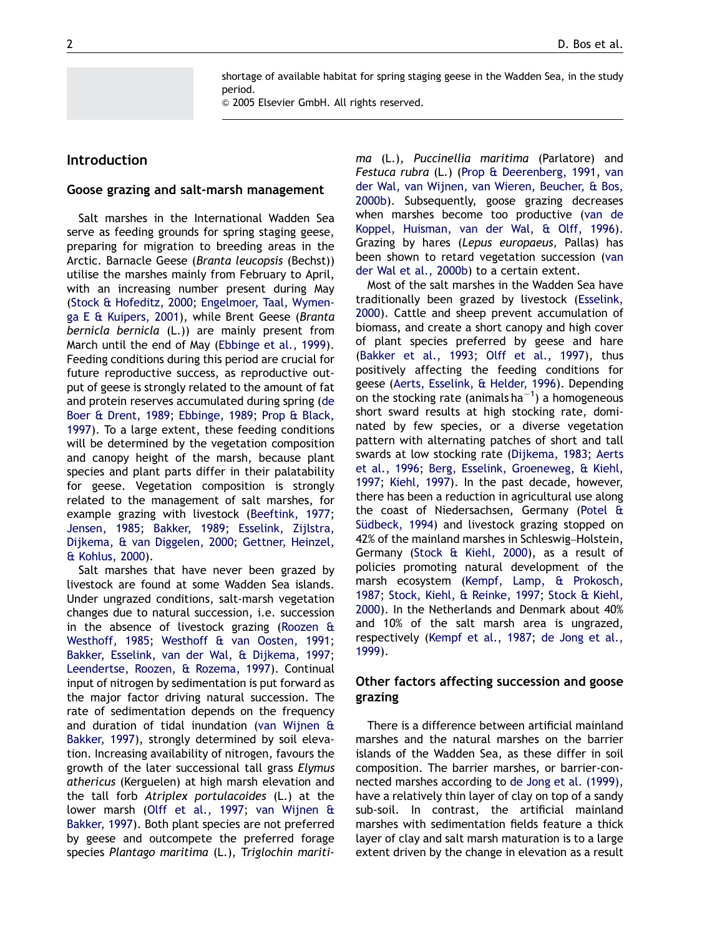shortage of available habitat for spring staging geese in the Wadden Sea, in the study period.

 $\odot$  2005 Elsevier GmbH. All rights reserved.

## Introduction

#### Goose grazing and salt-marsh management

Salt marshes in the International Wadden Sea serve as feeding grounds for spring staging geese, preparing for migration to breeding areas in the Arctic. Barnacle Geese (Branta leucopsis (Bechst)) utilise the marshes mainly from February to April, with an increasing number present during May [\(Stock & Hofeditz, 2000;](#page-14-0) [Engelmoer, Taal, Wymen](#page-12-0)[ga E](#page-12-0) [& Kuipers, 2001](#page-12-0)), while Brent Geese (Branta bernicla bernicla (L.)) are mainly present from March until the end of May [\(Ebbinge et al., 1999\)](#page-12-0). Feeding conditions during this period are crucial for future reproductive success, as reproductive output of geese is strongly related to the amount of fat and protein reserves accumulated during spring ([de](#page-12-0) [Boer & Drent, 1989](#page-12-0); [Ebbinge, 1989;](#page-12-0) [Prop & Black,](#page-13-0) [1997](#page-13-0)). To a large extent, these feeding conditions will be determined by the vegetation composition and canopy height of the marsh, because plant species and plant parts differ in their palatability for geese. Vegetation composition is strongly related to the management of salt marshes, for example grazing with livestock ([Beeftink, 1977](#page-12-0); [Jensen, 1985](#page-13-0); [Bakker, 1989](#page-12-0); [Esselink, Zijlstra,](#page-13-0) [Dijkema, & van Diggelen, 2000](#page-13-0); [Gettner, Heinzel,](#page-13-0) & [Kohlus, 2000](#page-13-0)).

Salt marshes that have never been grazed by livestock are found at some Wadden Sea islands. Under ungrazed conditions, salt-marsh vegetation changes due to natural succession, i.e. succession in the absence of livestock grazing ([Roozen &](#page-13-0) [Westhoff, 1985;](#page-13-0) [Westhoff](#page-14-0) & [van Oosten, 1991](#page-14-0); [Bakker, Esselink, van der Wal,](#page-12-0) [& Dijkema, 1997](#page-12-0); [Leendertse, Roozen,](#page-13-0) [& Rozema, 1997](#page-13-0)). Continual input of nitrogen by sedimentation is put forward as the major factor driving natural succession. The rate of sedimentation depends on the frequency and duration of tidal inundation ([van Wijnen &](#page-14-0) [Bakker, 1997](#page-14-0)), strongly determined by soil elevation. Increasing availability of nitrogen, favours the growth of the later successional tall grass Elymus athericus (Kerguelen) at high marsh elevation and the tall forb Atriplex portulacoides (L.) at the lower marsh ([Olff et al., 1997](#page-13-0); [van Wijnen &](#page-14-0) [Bakker, 1997\)](#page-14-0). Both plant species are not preferred by geese and outcompete the preferred forage species Plantago maritima (L.), Triglochin maritima (L.), Puccinellia maritima (Parlatore) and Festuca rubra (L.) [\(Prop](#page-13-0) [& Deerenberg, 1991,](#page-13-0) [van](#page-14-0) [der Wal, van Wijnen, van Wieren, Beucher, & Bos,](#page-14-0) [2000b](#page-14-0)). Subsequently, goose grazing decreases when marshes become too productive ([van de](#page-14-0) [Koppel, Huisman, van der Wal,](#page-14-0) & [Olff, 1996\)](#page-14-0). Grazing by hares (Lepus europaeus, Pallas) has been shown to retard vegetation succession [\(van](#page-14-0) [der Wal et al., 2000b\)](#page-14-0) to a certain extent.

Most of the salt marshes in the Wadden Sea have traditionally been grazed by livestock ([Esselink,](#page-13-0) [2000\)](#page-13-0). Cattle and sheep prevent accumulation of biomass, and create a short canopy and high cover of plant species preferred by geese and hare [\(Bakker et al., 1993;](#page-12-0) [Olff et al., 1997\)](#page-13-0), thus positively affecting the feeding conditions for geese ([Aerts, Esselink, & Helder, 1996\)](#page-12-0). Depending on the stocking rate (animals ha $^{-1}$ ) a homogeneous short sward results at high stocking rate, dominated by few species, or a diverse vegetation pattern with alternating patches of short and tall swards at low stocking rate ([Dijkema, 1983](#page-12-0); [Aerts](#page-12-0) [et al., 1996;](#page-12-0) [Berg, Esselink, Groeneweg,](#page-12-0) [& Kiehl,](#page-12-0) [1997;](#page-12-0) [Kiehl, 1997\)](#page-13-0). In the past decade, however, there has been a reduction in agricultural use along the coast of Niedersachsen, Germany ([Potel &](#page-13-0) Südbeck, 1994) and livestock grazing stopped on 42% of the mainland marshes in Schleswig–Holstein, Germany [\(Stock & Kiehl, 2000\)](#page-14-0), as a result of policies promoting natural development of the marsh ecosystem ([Kempf, Lamp,](#page-13-0) [& Prokosch,](#page-13-0) [1987;](#page-13-0) [Stock, Kiehl,](#page-14-0) [& Reinke, 1997](#page-14-0); [Stock & Kiehl,](#page-14-0) [2000\)](#page-14-0). In the Netherlands and Denmark about 40% and 10% of the salt marsh area is ungrazed, respectively ([Kempf et al., 1987](#page-13-0); [de Jong et al.,](#page-12-0) [1999\)](#page-12-0).

## Other factors affecting succession and goose grazing

There is a difference between artificial mainland marshes and the natural marshes on the barrier islands of the Wadden Sea, as these differ in soil composition. The barrier marshes, or barrier-connected marshes according to [de Jong et al. \(1999\)](#page-12-0), have a relatively thin layer of clay on top of a sandy sub-soil. In contrast, the artificial mainland marshes with sedimentation fields feature a thick layer of clay and salt marsh maturation is to a large extent driven by the change in elevation as a result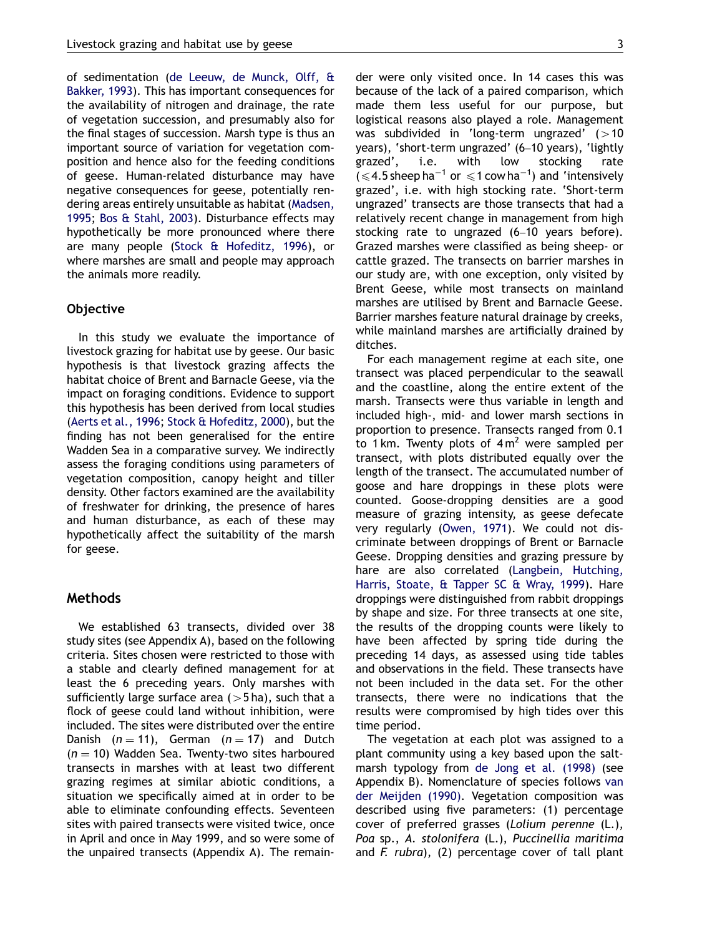of sedimentation ([de Leeuw, de Munck, Olff, &](#page-12-0) [Bakker, 1993\)](#page-12-0). This has important consequences for the availability of nitrogen and drainage, the rate of vegetation succession, and presumably also for the final stages of succession. Marsh type is thus an important source of variation for vegetation composition and hence also for the feeding conditions of geese. Human-related disturbance may have negative consequences for geese, potentially rendering areas entirely unsuitable as habitat ([Madsen,](#page-13-0) [1995](#page-13-0); [Bos](#page-12-0) [& Stahl, 2003](#page-12-0)). Disturbance effects may hypothetically be more pronounced where there are many people [\(Stock & Hofeditz, 1996\)](#page-14-0), or where marshes are small and people may approach the animals more readily.

#### Objective

In this study we evaluate the importance of livestock grazing for habitat use by geese. Our basic hypothesis is that livestock grazing affects the habitat choice of Brent and Barnacle Geese, via the impact on foraging conditions. Evidence to support this hypothesis has been derived from local studies [\(Aerts et al., 1996](#page-12-0); [Stock](#page-14-0) [& Hofeditz, 2000](#page-14-0)), but the finding has not been generalised for the entire Wadden Sea in a comparative survey. We indirectly assess the foraging conditions using parameters of vegetation composition, canopy height and tiller density. Other factors examined are the availability of freshwater for drinking, the presence of hares and human disturbance, as each of these may hypothetically affect the suitability of the marsh for geese.

#### Methods

We established 63 transects, divided over 38 study sites (see Appendix A), based on the following criteria. Sites chosen were restricted to those with a stable and clearly defined management for at least the 6 preceding years. Only marshes with sufficiently large surface area  $(>5$  ha), such that a flock of geese could land without inhibition, were included. The sites were distributed over the entire Danish  $(n = 11)$ , German  $(n = 17)$  and Dutch  $(n = 10)$  Wadden Sea. Twenty-two sites harboured transects in marshes with at least two different grazing regimes at similar abiotic conditions, a situation we specifically aimed at in order to be able to eliminate confounding effects. Seventeen sites with paired transects were visited twice, once in April and once in May 1999, and so were some of the unpaired transects (Appendix A). The remain-

der were only visited once. In 14 cases this was because of the lack of a paired comparison, which made them less useful for our purpose, but logistical reasons also played a role. Management was subdivided in 'long-term ungrazed'  $(>10$ years), 'short-term ungrazed' (6–10 years), 'lightly grazed', i.e. with low stocking rate  $($  < 4.5 sheep ha<sup>-1</sup> or  $\leq$  1 cow ha<sup>-1</sup>) and 'intensively grazed', i.e. with high stocking rate. 'Short-term ungrazed' transects are those transects that had a relatively recent change in management from high stocking rate to ungrazed (6–10 years before). Grazed marshes were classified as being sheep- or cattle grazed. The transects on barrier marshes in our study are, with one exception, only visited by Brent Geese, while most transects on mainland marshes are utilised by Brent and Barnacle Geese. Barrier marshes feature natural drainage by creeks, while mainland marshes are artificially drained by ditches.

For each management regime at each site, one transect was placed perpendicular to the seawall and the coastline, along the entire extent of the marsh. Transects were thus variable in length and included high-, mid- and lower marsh sections in proportion to presence. Transects ranged from 0.1 to 1 km. Twenty plots of  $4 m<sup>2</sup>$  were sampled per transect, with plots distributed equally over the length of the transect. The accumulated number of goose and hare droppings in these plots were counted. Goose-dropping densities are a good measure of grazing intensity, as geese defecate very regularly [\(Owen, 1971](#page-13-0)). We could not discriminate between droppings of Brent or Barnacle Geese. Dropping densities and grazing pressure by hare are also correlated ([Langbein, Hutching,](#page-13-0) [Harris, Stoate,](#page-13-0) & [Tapper SC & Wray, 1999](#page-13-0)). Hare droppings were distinguished from rabbit droppings by shape and size. For three transects at one site, the results of the dropping counts were likely to have been affected by spring tide during the preceding 14 days, as assessed using tide tables and observations in the field. These transects have not been included in the data set. For the other transects, there were no indications that the results were compromised by high tides over this time period.

The vegetation at each plot was assigned to a plant community using a key based upon the saltmarsh typology from [de Jong et al. \(1998\)](#page-12-0) (see Appendix B). Nomenclature of species follows [van](#page-14-0) [der Meijden \(1990\)](#page-14-0). Vegetation composition was described using five parameters: (1) percentage cover of preferred grasses (Lolium perenne (L.), Poa sp., A. stolonifera (L.), Puccinellia maritima and  $F.$  rubra), (2) percentage cover of tall plant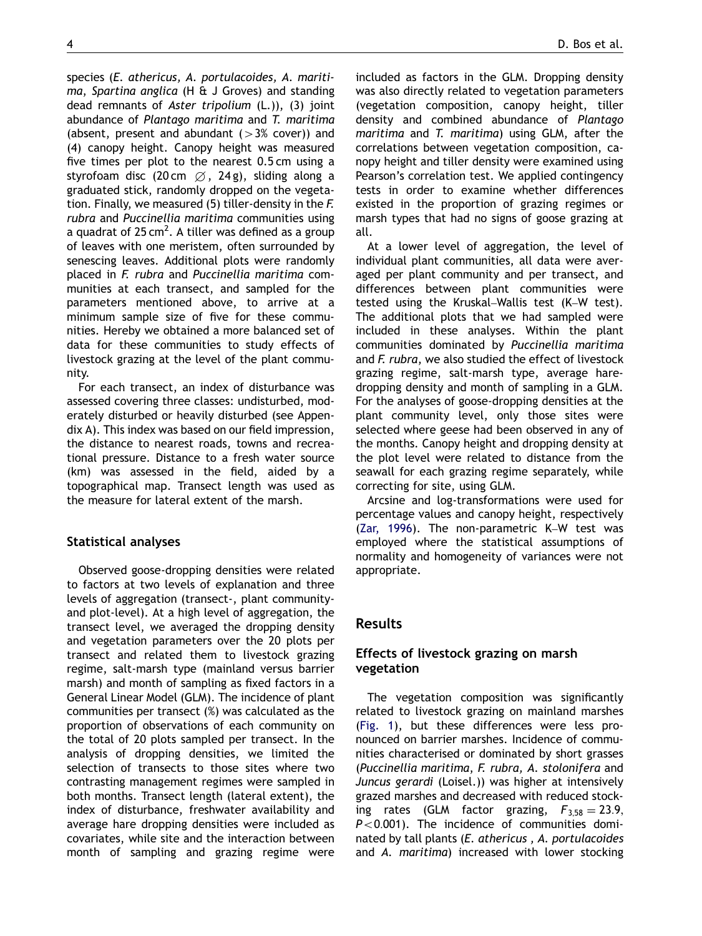species (E. athericus, A. portulacoides, A. maritima, Spartina anglica (H & J Groves) and standing dead remnants of Aster tripolium (L.)), (3) joint abundance of Plantago maritima and T. maritima (absent, present and abundant  $(>3%$  cover)) and (4) canopy height. Canopy height was measured five times per plot to the nearest 0.5 cm using a styrofoam disc (20 cm  $\varnothing$ , 24 g), sliding along a graduated stick, randomly dropped on the vegetation. Finally, we measured (5) tiller-density in the F. rubra and Puccinellia maritima communities using a quadrat of 25 cm<sup>2</sup>. A tiller was defined as a group of leaves with one meristem, often surrounded by senescing leaves. Additional plots were randomly placed in F. rubra and Puccinellia maritima communities at each transect, and sampled for the parameters mentioned above, to arrive at a minimum sample size of five for these communities. Hereby we obtained a more balanced set of data for these communities to study effects of livestock grazing at the level of the plant community.

For each transect, an index of disturbance was assessed covering three classes: undisturbed, moderately disturbed or heavily disturbed (see Appendix A). This index was based on our field impression, the distance to nearest roads, towns and recreational pressure. Distance to a fresh water source (km) was assessed in the field, aided by a topographical map. Transect length was used as the measure for lateral extent of the marsh.

## Statistical analyses

Observed goose-dropping densities were related to factors at two levels of explanation and three levels of aggregation (transect-, plant communityand plot-level). At a high level of aggregation, the transect level, we averaged the dropping density and vegetation parameters over the 20 plots per transect and related them to livestock grazing regime, salt-marsh type (mainland versus barrier marsh) and month of sampling as fixed factors in a General Linear Model (GLM). The incidence of plant communities per transect (%) was calculated as the proportion of observations of each community on the total of 20 plots sampled per transect. In the analysis of dropping densities, we limited the selection of transects to those sites where two contrasting management regimes were sampled in both months. Transect length (lateral extent), the index of disturbance, freshwater availability and average hare dropping densities were included as covariates, while site and the interaction between month of sampling and grazing regime were

included as factors in the GLM. Dropping density was also directly related to vegetation parameters (vegetation composition, canopy height, tiller density and combined abundance of Plantago maritima and T. maritima) using GLM, after the correlations between vegetation composition, canopy height and tiller density were examined using Pearson's correlation test. We applied contingency tests in order to examine whether differences existed in the proportion of grazing regimes or marsh types that had no signs of goose grazing at all.

At a lower level of aggregation, the level of individual plant communities, all data were averaged per plant community and per transect, and differences between plant communities were tested using the Kruskal–Wallis test (K–W test). The additional plots that we had sampled were included in these analyses. Within the plant communities dominated by Puccinellia maritima and F. rubra, we also studied the effect of livestock grazing regime, salt-marsh type, average haredropping density and month of sampling in a GLM. For the analyses of goose-dropping densities at the plant community level, only those sites were selected where geese had been observed in any of the months. Canopy height and dropping density at the plot level were related to distance from the seawall for each grazing regime separately, while correcting for site, using GLM.

Arcsine and log-transformations were used for percentage values and canopy height, respectively [\(Zar, 1996\)](#page-14-0). The non-parametric K–W test was employed where the statistical assumptions of normality and homogeneity of variances were not appropriate.

## Results

## Effects of livestock grazing on marsh vegetation

The vegetation composition was significantly related to livestock grazing on mainland marshes [\(Fig. 1](#page-4-0)), but these differences were less pronounced on barrier marshes. Incidence of communities characterised or dominated by short grasses (Puccinellia maritima, F. rubra, A. stolonifera and Juncus gerardi (Loisel.)) was higher at intensively grazed marshes and decreased with reduced stocking rates (GLM factor grazing,  $F_{3.58} = 23.9$ ,  $P < 0.001$ ). The incidence of communities dominated by tall plants (E. athericus , A. portulacoides and A. maritima) increased with lower stocking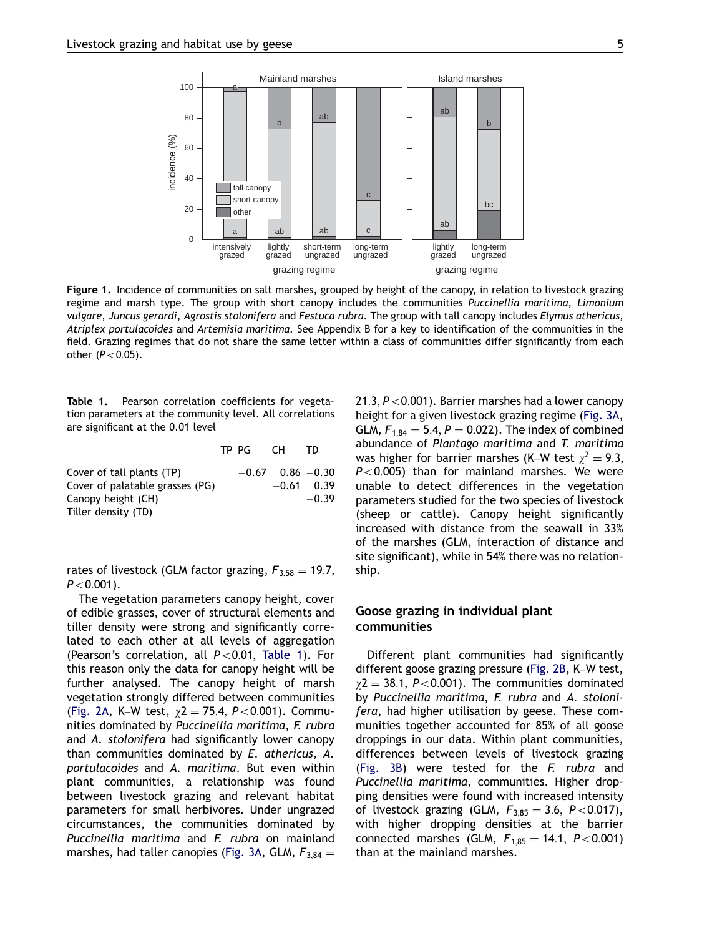<span id="page-4-0"></span>

Figure 1. Incidence of communities on salt marshes, grouped by height of the canopy, in relation to livestock grazing regime and marsh type. The group with short canopy includes the communities Puccinellia maritima, Limonium vulgare, Juncus gerardi, Agrostis stolonifera and Festuca rubra. The group with tall canopy includes Elymus athericus, Atriplex portulacoides and Artemisia maritima. See Appendix B for a key to identification of the communities in the field. Grazing regimes that do not share the same letter within a class of communities differ significantly from each other  $(P<0.05)$ .

Table 1. Pearson correlation coefficients for vegetation parameters at the community level. All correlations are significant at the 0.01 level

|                                 | TP PG CH |                      | TD.          |
|---------------------------------|----------|----------------------|--------------|
| Cover of tall plants (TP)       |          | $-0.67$ 0.86 $-0.30$ |              |
| Cover of palatable grasses (PG) |          |                      | $-0.61$ 0.39 |
| Canopy height (CH)              |          |                      | $-0.39$      |
| Tiller density (TD)             |          |                      |              |

rates of livestock (GLM factor grazing,  $F_{3,58} = 19.7$ ,  $P < 0.001$ ).

The vegetation parameters canopy height, cover of edible grasses, cover of structural elements and tiller density were strong and significantly correlated to each other at all levels of aggregation (Pearson's correlation, all  $P < 0.01$ , Table 1). For this reason only the data for canopy height will be further analysed. The canopy height of marsh vegetation strongly differed between communities [\(Fig. 2A](#page-5-0), K–W test,  $\chi$ 2 = 75.4, P<0.001). Communities dominated by Puccinellia maritima, F. rubra and A. stolonifera had significantly lower canopy than communities dominated by E. athericus, A. portulacoides and A. maritima. But even within plant communities, a relationship was found between livestock grazing and relevant habitat parameters for small herbivores. Under ungrazed circumstances, the communities dominated by Puccinellia maritima and F. rubra on mainland marshes, had taller canopies [\(Fig. 3A,](#page-6-0) GLM,  $F_{3,84} =$ 

21.3,  $P < 0.001$ ). Barrier marshes had a lower canopy height for a given livestock grazing regime ([Fig. 3A](#page-6-0), GLM,  $F_{1,84} = 5.4, P = 0.022$ . The index of combined abundance of Plantago maritima and T. maritima was higher for barrier marshes (K–W test  $\chi^2 = 9.3$ ,  $P < 0.005$ ) than for mainland marshes. We were unable to detect differences in the vegetation parameters studied for the two species of livestock (sheep or cattle). Canopy height significantly increased with distance from the seawall in 33% of the marshes (GLM, interaction of distance and site significant), while in 54% there was no relationship.

### Goose grazing in individual plant communities

Different plant communities had significantly different goose grazing pressure ([Fig. 2B,](#page-5-0) K–W test,  $\chi$ 2 = 38.1, P<0.001). The communities dominated by Puccinellia maritima, F. rubra and A. stolonifera, had higher utilisation by geese. These communities together accounted for 85% of all goose droppings in our data. Within plant communities, differences between levels of livestock grazing [\(Fig. 3B](#page-6-0)) were tested for the F. rubra and Puccinellia maritima, communities. Higher dropping densities were found with increased intensity of livestock grazing (GLM,  $F_{3,85} = 3.6$ ,  $P < 0.017$ ), with higher dropping densities at the barrier connected marshes (GLM,  $F_{1,85} = 14.1, P < 0.001$ ) than at the mainland marshes.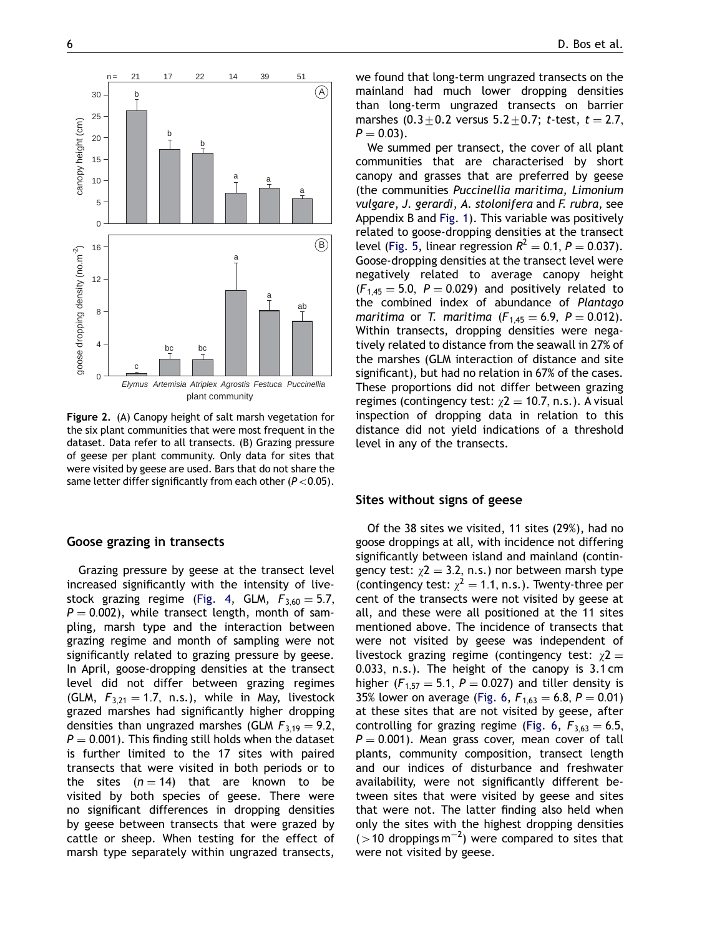<span id="page-5-0"></span>

Figure 2. (A) Canopy height of salt marsh vegetation for the six plant communities that were most frequent in the dataset. Data refer to all transects. (B) Grazing pressure of geese per plant community. Only data for sites that were visited by geese are used. Bars that do not share the same letter differ significantly from each other ( $P < 0.05$ ).

#### Goose grazing in transects

Grazing pressure by geese at the transect level increased significantly with the intensity of live-stock grazing regime [\(Fig. 4,](#page-6-0) GLM,  $F_{3,60} = 5.7$ ,  $P = 0.002$ , while transect length, month of sampling, marsh type and the interaction between grazing regime and month of sampling were not significantly related to grazing pressure by geese. In April, goose-dropping densities at the transect level did not differ between grazing regimes (GLM,  $F_{3,21} = 1.7$ , n.s.), while in May, livestock grazed marshes had significantly higher dropping densities than ungrazed marshes (GLM  $F_{3,19} = 9.2$ ,  $P = 0.001$ ). This finding still holds when the dataset is further limited to the 17 sites with paired transects that were visited in both periods or to the sites  $(n = 14)$  that are known to be visited by both species of geese. There were no significant differences in dropping densities by geese between transects that were grazed by cattle or sheep. When testing for the effect of marsh type separately within ungrazed transects, we found that long-term ungrazed transects on the mainland had much lower dropping densities than long-term ungrazed transects on barrier marshes  $(0.3 \pm 0.2$  versus  $5.2 \pm 0.7$ ; t-test,  $t = 2.7$ ,  $P = 0.03$ .

We summed per transect, the cover of all plant communities that are characterised by short canopy and grasses that are preferred by geese (the communities Puccinellia maritima, Limonium vulgare, J. gerardi, A. stolonifera and F. rubra, see Appendix B and [Fig. 1\)](#page-4-0). This variable was positively related to goose-dropping densities at the transect level ([Fig. 5,](#page-7-0) linear regression  $R^2 = 0.1$ ,  $P = 0.037$ ). Goose-dropping densities at the transect level were negatively related to average canopy height  $(F<sub>1,45</sub> = 5.0, P = 0.029)$  and positively related to the combined index of abundance of Plantago maritima or T. maritima ( $F_{1,45} = 6.9$ ,  $P = 0.012$ ). Within transects, dropping densities were negatively related to distance from the seawall in 27% of the marshes (GLM interaction of distance and site significant), but had no relation in 67% of the cases. These proportions did not differ between grazing regimes (contingency test:  $\chi$ 2 = 10.7, n.s.). A visual inspection of dropping data in relation to this distance did not yield indications of a threshold level in any of the transects.

#### Sites without signs of geese

Of the 38 sites we visited, 11 sites (29%), had no goose droppings at all, with incidence not differing significantly between island and mainland (contingency test:  $\chi$ 2 = 3.2, n.s.) nor between marsh type (contingency test:  $\chi^2 = 1.1$ , n.s.). Twenty-three per cent of the transects were not visited by geese at all, and these were all positioned at the 11 sites mentioned above. The incidence of transects that were not visited by geese was independent of livestock grazing regime (contingency test:  $\chi$ 2 = 0:033; n.s.). The height of the canopy is 3.1 cm higher ( $F_{1,57} = 5.1$ ,  $P = 0.027$ ) and tiller density is 35% lower on average [\(Fig. 6](#page-7-0),  $F_{1,63} = 6.8, P = 0.01$ ) at these sites that are not visited by geese, after controlling for grazing regime ([Fig. 6,](#page-7-0)  $F_{3,63} = 6.5$ ,  $P = 0.001$ ). Mean grass cover, mean cover of tall plants, community composition, transect length and our indices of disturbance and freshwater availability, were not significantly different between sites that were visited by geese and sites that were not. The latter finding also held when only the sites with the highest dropping densities  $($  > 10 droppings m<sup>-2</sup>) were compared to sites that were not visited by geese.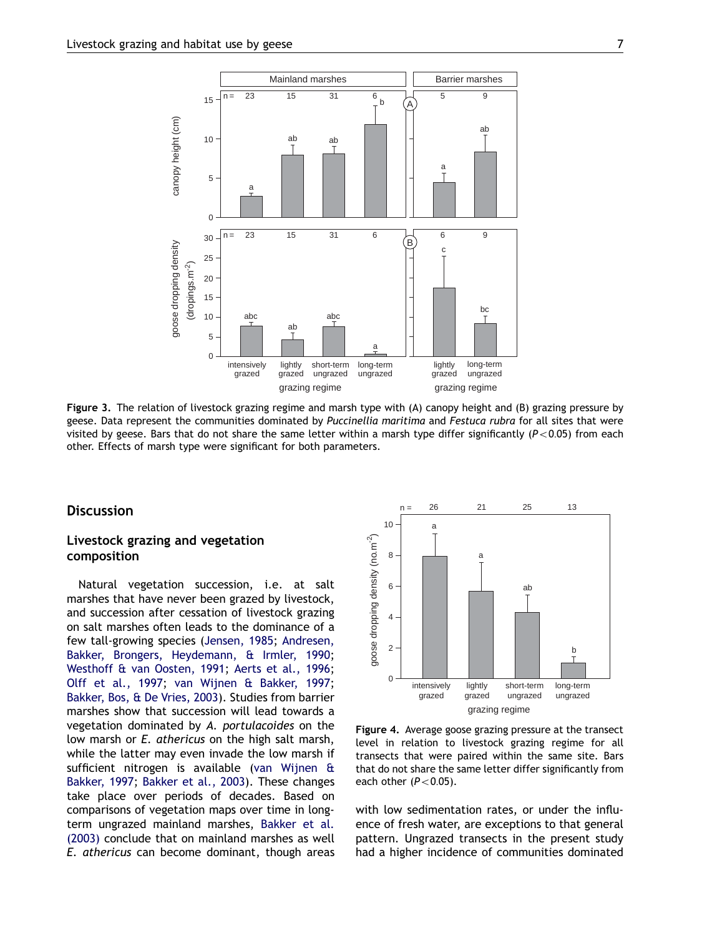<span id="page-6-0"></span>![](_page_6_Figure_1.jpeg)

Figure 3. The relation of livestock grazing regime and marsh type with (A) canopy height and (B) grazing pressure by geese. Data represent the communities dominated by Puccinellia maritima and Festuca rubra for all sites that were visited by geese. Bars that do not share the same letter within a marsh type differ significantly ( $P < 0.05$ ) from each other. Effects of marsh type were significant for both parameters.

## **Discussion**

## Livestock grazing and vegetation composition

Natural vegetation succession, i.e. at salt marshes that have never been grazed by livestock, and succession after cessation of livestock grazing on salt marshes often leads to the dominance of a few tall-growing species [\(Jensen, 1985;](#page-13-0) [Andresen,](#page-12-0) [Bakker, Brongers, Heydemann, & Irmler, 1990](#page-12-0); [Westhoff](#page-14-0) [& van Oosten, 1991;](#page-14-0) [Aerts et al., 1996](#page-12-0); [Olff et al., 1997](#page-13-0); [van Wijnen](#page-14-0) [& Bakker, 1997](#page-14-0); [Bakker, Bos, & De Vries, 2003](#page-12-0)). Studies from barrier marshes show that succession will lead towards a vegetation dominated by A. portulacoides on the low marsh or E. athericus on the high salt marsh, while the latter may even invade the low marsh if sufficient nitrogen is available [\(van Wijnen &](#page-14-0) [Bakker, 1997;](#page-14-0) [Bakker et al., 2003\)](#page-12-0). These changes take place over periods of decades. Based on comparisons of vegetation maps over time in longterm ungrazed mainland marshes, [Bakker et al.](#page-12-0) [\(2003\)](#page-12-0) conclude that on mainland marshes as well E. athericus can become dominant, though areas

![](_page_6_Figure_6.jpeg)

Figure 4. Average goose grazing pressure at the transect level in relation to livestock grazing regime for all transects that were paired within the same site. Bars that do not share the same letter differ significantly from each other  $(P<0.05)$ .

with low sedimentation rates, or under the influence of fresh water, are exceptions to that general pattern. Ungrazed transects in the present study had a higher incidence of communities dominated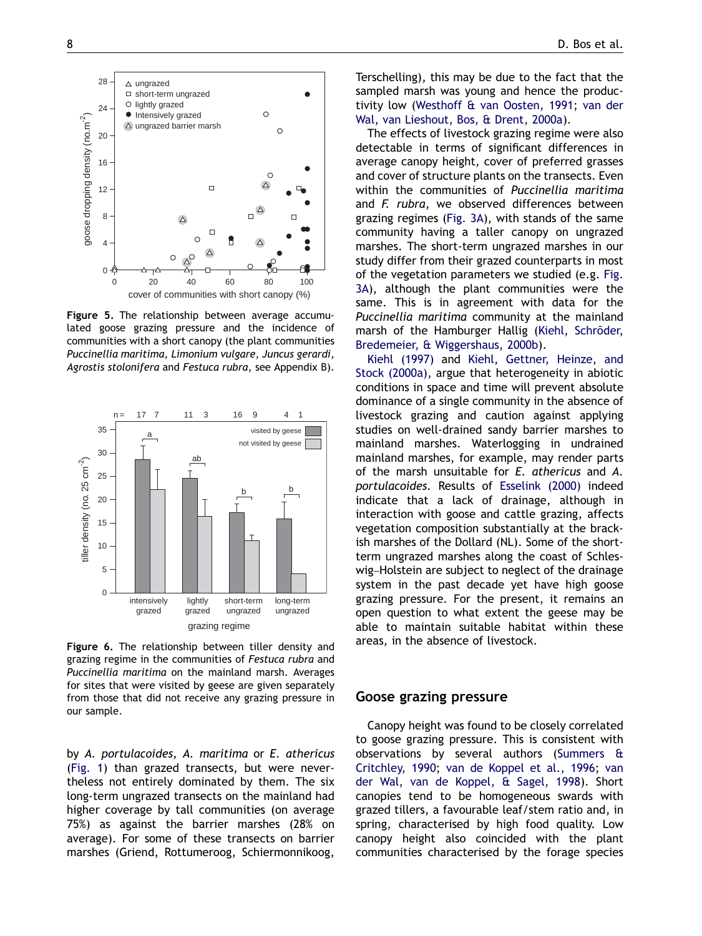<span id="page-7-0"></span>![](_page_7_Figure_1.jpeg)

Figure 5. The relationship between average accumulated goose grazing pressure and the incidence of communities with a short canopy (the plant communities Puccinellia maritima, Limonium vulgare, Juncus gerardi, Agrostis stolonifera and Festuca rubra, see Appendix B).

![](_page_7_Figure_3.jpeg)

Figure 6. The relationship between tiller density and grazing regime in the communities of Festuca rubra and Puccinellia maritima on the mainland marsh. Averages for sites that were visited by geese are given separately from those that did not receive any grazing pressure in our sample.

by A. portulacoides, A. maritima or E. athericus [\(Fig. 1\)](#page-4-0) than grazed transects, but were nevertheless not entirely dominated by them. The six long-term ungrazed transects on the mainland had higher coverage by tall communities (on average 75%) as against the barrier marshes (28% on average). For some of these transects on barrier marshes (Griend, Rottumeroog, Schiermonnikoog, Terschelling), this may be due to the fact that the sampled marsh was young and hence the productivity low ([Westhoff](#page-14-0) [& van Oosten, 1991;](#page-14-0) [van der](#page-14-0) [Wal, van Lieshout, Bos, & Drent, 2000a](#page-14-0)).

The effects of livestock grazing regime were also detectable in terms of significant differences in average canopy height, cover of preferred grasses and cover of structure plants on the transects. Even within the communities of Puccinellia maritima and F. rubra, we observed differences between grazing regimes ([Fig. 3A](#page-6-0)), with stands of the same community having a taller canopy on ungrazed marshes. The short-term ungrazed marshes in our study differ from their grazed counterparts in most of the vegetation parameters we studied (e.g. [Fig.](#page-6-0) [3A\)](#page-6-0), although the plant communities were the same. This is in agreement with data for the Puccinellia maritima community at the mainland marsh of the Hamburger Hallig (Kiehl, Schröder, [Bredemeier, & Wiggershaus, 2000b\)](#page-13-0).

[Kiehl \(1997\)](#page-13-0) and [Kiehl, Gettner, Heinze, and](#page-13-0) [Stock \(2000a\),](#page-13-0) argue that heterogeneity in abiotic conditions in space and time will prevent absolute dominance of a single community in the absence of livestock grazing and caution against applying studies on well-drained sandy barrier marshes to mainland marshes. Waterlogging in undrained mainland marshes, for example, may render parts of the marsh unsuitable for E. athericus and A. portulacoides. Results of [Esselink \(2000\)](#page-13-0) indeed indicate that a lack of drainage, although in interaction with goose and cattle grazing, affects vegetation composition substantially at the brackish marshes of the Dollard (NL). Some of the shortterm ungrazed marshes along the coast of Schleswig–Holstein are subject to neglect of the drainage system in the past decade yet have high goose grazing pressure. For the present, it remains an open question to what extent the geese may be able to maintain suitable habitat within these areas, in the absence of livestock.

## Goose grazing pressure

Canopy height was found to be closely correlated to goose grazing pressure. This is consistent with observations by several authors ([Summers &](#page-14-0) [Critchley, 1990;](#page-14-0) [van de Koppel et al., 1996;](#page-14-0) [van](#page-14-0) [der Wal, van de Koppel, & Sagel, 1998](#page-14-0)). Short canopies tend to be homogeneous swards with grazed tillers, a favourable leaf/stem ratio and, in spring, characterised by high food quality. Low canopy height also coincided with the plant communities characterised by the forage species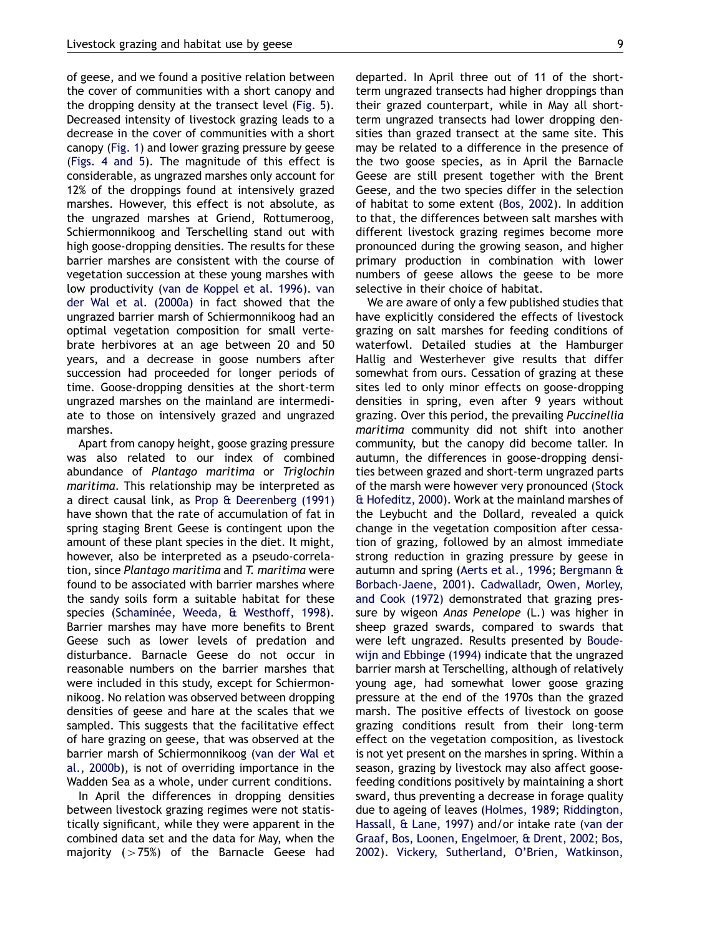of geese, and we found a positive relation between the cover of communities with a short canopy and the dropping density at the transect level [\(Fig. 5\)](#page-7-0). Decreased intensity of livestock grazing leads to a decrease in the cover of communities with a short canopy [\(Fig. 1\)](#page-4-0) and lower grazing pressure by geese [\(Figs. 4 and 5](#page-6-0)). The magnitude of this effect is considerable, as ungrazed marshes only account for 12% of the droppings found at intensively grazed marshes. However, this effect is not absolute, as the ungrazed marshes at Griend, Rottumeroog, Schiermonnikoog and Terschelling stand out with high goose-dropping densities. The results for these barrier marshes are consistent with the course of vegetation succession at these young marshes with low productivity ([van de Koppel et al. 1996\)](#page-14-0). [van](#page-14-0) [der Wal et al. \(2000a\)](#page-14-0) in fact showed that the ungrazed barrier marsh of Schiermonnikoog had an optimal vegetation composition for small vertebrate herbivores at an age between 20 and 50 years, and a decrease in goose numbers after succession had proceeded for longer periods of time. Goose-dropping densities at the short-term ungrazed marshes on the mainland are intermediate to those on intensively grazed and ungrazed marshes.

Apart from canopy height, goose grazing pressure was also related to our index of combined abundance of Plantago maritima or Triglochin maritima. This relationship may be interpreted as a direct causal link, as [Prop](#page-13-0) [& Deerenberg \(1991\)](#page-13-0) have shown that the rate of accumulation of fat in spring staging Brent Geese is contingent upon the amount of these plant species in the diet. It might, however, also be interpreted as a pseudo-correlation, since Plantago maritima and T. maritima were found to be associated with barrier marshes where the sandy soils form a suitable habitat for these species (Schaminée, Weeda, [& Westhoff, 1998\)](#page-13-0). Barrier marshes may have more benefits to Brent Geese such as lower levels of predation and disturbance. Barnacle Geese do not occur in reasonable numbers on the barrier marshes that were included in this study, except for Schiermonnikoog. No relation was observed between dropping densities of geese and hare at the scales that we sampled. This suggests that the facilitative effect of hare grazing on geese, that was observed at the barrier marsh of Schiermonnikoog ([van der Wal et](#page-14-0) [al., 2000b](#page-14-0)), is not of overriding importance in the Wadden Sea as a whole, under current conditions.

In April the differences in dropping densities between livestock grazing regimes were not statistically significant, while they were apparent in the combined data set and the data for May, when the majority  $(>75%)$  of the Barnacle Geese had departed. In April three out of 11 of the shortterm ungrazed transects had higher droppings than their grazed counterpart, while in May all shortterm ungrazed transects had lower dropping densities than grazed transect at the same site. This may be related to a difference in the presence of the two goose species, as in April the Barnacle Geese are still present together with the Brent Geese, and the two species differ in the selection of habitat to some extent [\(Bos, 2002\)](#page-12-0). In addition to that, the differences between salt marshes with different livestock grazing regimes become more pronounced during the growing season, and higher primary production in combination with lower numbers of geese allows the geese to be more selective in their choice of habitat.

We are aware of only a few published studies that have explicitly considered the effects of livestock grazing on salt marshes for feeding conditions of waterfowl. Detailed studies at the Hamburger Hallig and Westerhever give results that differ somewhat from ours. Cessation of grazing at these sites led to only minor effects on goose-dropping densities in spring, even after 9 years without grazing. Over this period, the prevailing Puccinellia maritima community did not shift into another community, but the canopy did become taller. In autumn, the differences in goose-dropping densities between grazed and short-term ungrazed parts of the marsh were however very pronounced [\(Stock](#page-14-0) & [Hofeditz, 2000\)](#page-14-0). Work at the mainland marshes of the Leybucht and the Dollard, revealed a quick change in the vegetation composition after cessation of grazing, followed by an almost immediate strong reduction in grazing pressure by geese in autumn and spring ([Aerts et al., 1996](#page-12-0); [Bergmann &](#page-12-0) [Borbach-Jaene, 2001](#page-12-0)). [Cadwalladr, Owen, Morley,](#page-12-0) [and Cook \(1972\)](#page-12-0) demonstrated that grazing pressure by wigeon Anas Penelope (L.) was higher in sheep grazed swards, compared to swards that were left ungrazed. Results presented by [Boude](#page-12-0)[wijn and Ebbinge \(1994\)](#page-12-0) indicate that the ungrazed barrier marsh at Terschelling, although of relatively young age, had somewhat lower goose grazing pressure at the end of the 1970s than the grazed marsh. The positive effects of livestock on goose grazing conditions result from their long-term effect on the vegetation composition, as livestock is not yet present on the marshes in spring. Within a season, grazing by livestock may also affect goosefeeding conditions positively by maintaining a short sward, thus preventing a decrease in forage quality due to ageing of leaves ([Holmes, 1989](#page-13-0); [Riddington,](#page-13-0) [Hassall,](#page-13-0) [& Lane, 1997](#page-13-0)) and/or intake rate [\(van der](#page-14-0) [Graaf, Bos, Loonen, Engelmoer,](#page-14-0) [& Drent, 2002](#page-14-0); [Bos,](#page-12-0) [2002\)](#page-12-0). [Vickery, Sutherland, O'Brien, Watkinson,](#page-14-0)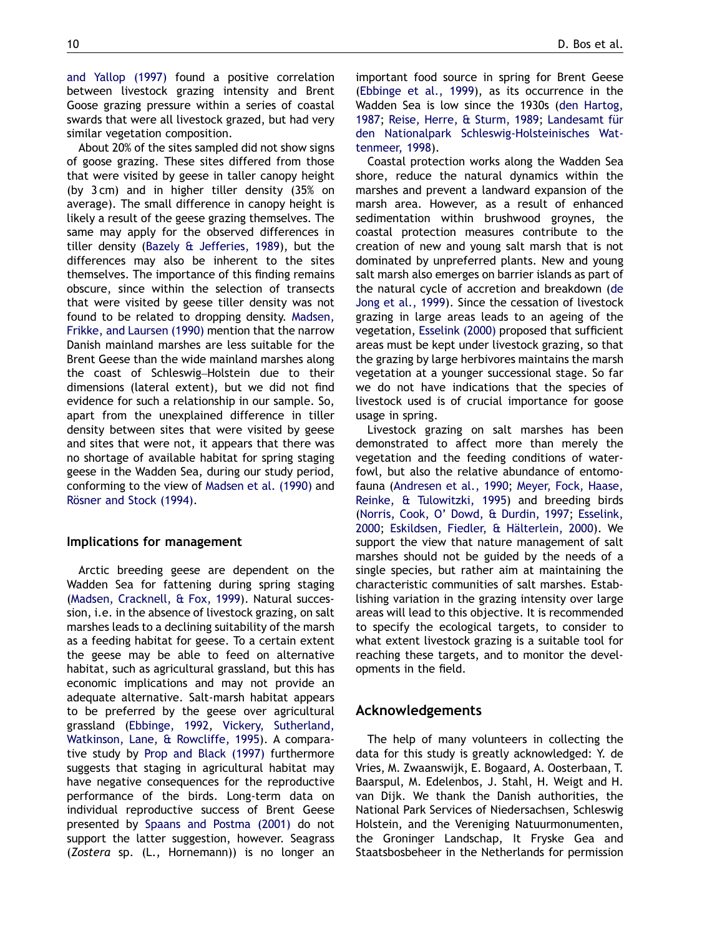[and Yallop \(1997\)](#page-14-0) found a positive correlation between livestock grazing intensity and Brent Goose grazing pressure within a series of coastal swards that were all livestock grazed, but had very similar vegetation composition.

About 20% of the sites sampled did not show signs of goose grazing. These sites differed from those that were visited by geese in taller canopy height (by 3 cm) and in higher tiller density (35% on average). The small difference in canopy height is likely a result of the geese grazing themselves. The same may apply for the observed differences in tiller density ([Bazely](#page-12-0) [& Jefferies, 1989](#page-12-0)), but the differences may also be inherent to the sites themselves. The importance of this finding remains obscure, since within the selection of transects that were visited by geese tiller density was not found to be related to dropping density. [Madsen,](#page-13-0) [Frikke, and Laursen \(1990\)](#page-13-0) mention that the narrow Danish mainland marshes are less suitable for the Brent Geese than the wide mainland marshes along the coast of Schleswig–Holstein due to their dimensions (lateral extent), but we did not find evidence for such a relationship in our sample. So, apart from the unexplained difference in tiller density between sites that were visited by geese and sites that were not, it appears that there was no shortage of available habitat for spring staging geese in the Wadden Sea, during our study period, conforming to the view of [Madsen et al. \(1990\)](#page-13-0) and Rösner and Stock (1994).

#### Implications for management

Arctic breeding geese are dependent on the Wadden Sea for fattening during spring staging [\(Madsen, Cracknell,](#page-13-0) [& Fox, 1999\)](#page-13-0). Natural succession, i.e. in the absence of livestock grazing, on salt marshes leads to a declining suitability of the marsh as a feeding habitat for geese. To a certain extent the geese may be able to feed on alternative habitat, such as agricultural grassland, but this has economic implications and may not provide an adequate alternative. Salt-marsh habitat appears to be preferred by the geese over agricultural grassland ([Ebbinge, 1992](#page-12-0), [Vickery, Sutherland,](#page-14-0) [Watkinson, Lane, & Rowcliffe, 1995](#page-14-0)). A comparative study by [Prop and Black \(1997\)](#page-13-0) furthermore suggests that staging in agricultural habitat may have negative consequences for the reproductive performance of the birds. Long-term data on individual reproductive success of Brent Geese presented by [Spaans and Postma \(2001\)](#page-14-0) do not support the latter suggestion, however. Seagrass (Zostera sp. (L., Hornemann)) is no longer an

important food source in spring for Brent Geese [\(Ebbinge et al., 1999](#page-12-0)), as its occurrence in the Wadden Sea is low since the 1930s [\(den Hartog,](#page-12-0) [1987;](#page-12-0) [Reise, Herre,](#page-13-0) [& Sturm, 1989](#page-13-0); Landesamt für [den Nationalpark Schleswig-Holsteinisches Wat](#page-13-0)[tenmeer, 1998\)](#page-13-0).

Coastal protection works along the Wadden Sea shore, reduce the natural dynamics within the marshes and prevent a landward expansion of the marsh area. However, as a result of enhanced sedimentation within brushwood groynes, the coastal protection measures contribute to the creation of new and young salt marsh that is not dominated by unpreferred plants. New and young salt marsh also emerges on barrier islands as part of the natural cycle of accretion and breakdown ([de](#page-12-0) [Jong et al., 1999\)](#page-12-0). Since the cessation of livestock grazing in large areas leads to an ageing of the vegetation, [Esselink \(2000\)](#page-13-0) proposed that sufficient areas must be kept under livestock grazing, so that the grazing by large herbivores maintains the marsh vegetation at a younger successional stage. So far we do not have indications that the species of livestock used is of crucial importance for goose usage in spring.

Livestock grazing on salt marshes has been demonstrated to affect more than merely the vegetation and the feeding conditions of waterfowl, but also the relative abundance of entomofauna ([Andresen et al., 1990](#page-12-0); [Meyer, Fock, Haase,](#page-13-0) [Reinke,](#page-13-0) [& Tulowitzki, 1995\)](#page-13-0) and breeding birds [\(Norris, Cook, O' Dowd,](#page-13-0) [& Durdin, 1997;](#page-13-0) [Esselink,](#page-13-0) [2000;](#page-13-0) Eskildsen, Fiedler, & Hälterlein, 2000). We support the view that nature management of salt marshes should not be guided by the needs of a single species, but rather aim at maintaining the characteristic communities of salt marshes. Establishing variation in the grazing intensity over large areas will lead to this objective. It is recommended to specify the ecological targets, to consider to what extent livestock grazing is a suitable tool for reaching these targets, and to monitor the developments in the field.

## Acknowledgements

The help of many volunteers in collecting the data for this study is greatly acknowledged: Y. de Vries, M. Zwaanswijk, E. Bogaard, A. Oosterbaan, T. Baarspul, M. Edelenbos, J. Stahl, H. Weigt and H. van Dijk. We thank the Danish authorities, the National Park Services of Niedersachsen, Schleswig Holstein, and the Vereniging Natuurmonumenten, the Groninger Landschap, It Fryske Gea and Staatsbosbeheer in the Netherlands for permission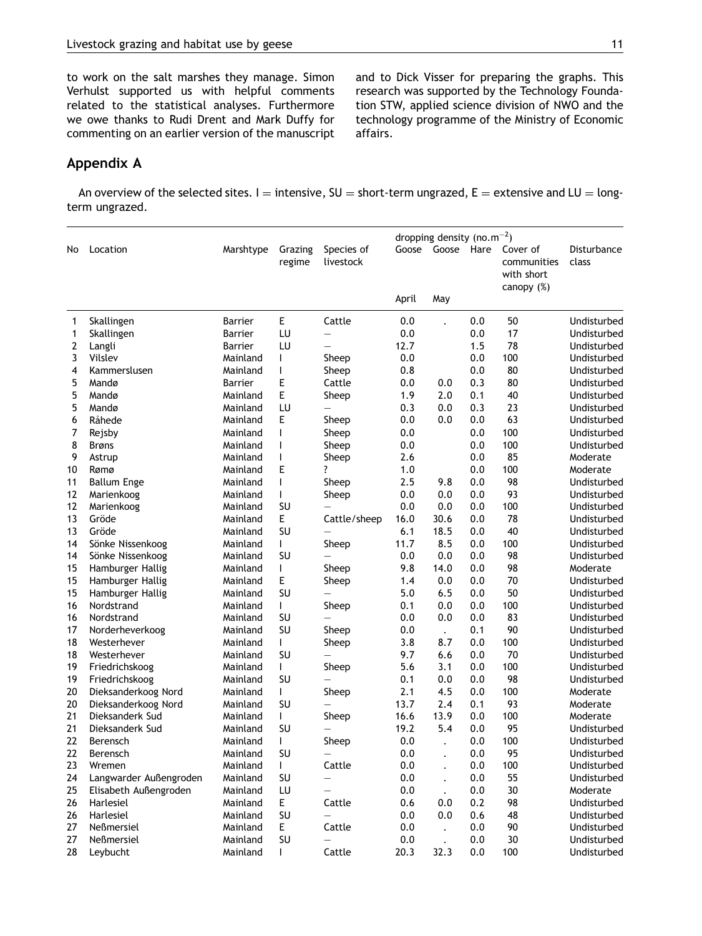to work on the salt marshes they manage. Simon Verhulst supported us with helpful comments related to the statistical analyses. Furthermore we owe thanks to Rudi Drent and Mark Duffy for commenting on an earlier version of the manuscript and to Dick Visser for preparing the graphs. This research was supported by the Technology Foundation STW, applied science division of NWO and the technology programme of the Ministry of Economic affairs.

## Appendix A

An overview of the selected sites. I = intensive,  $SU =$  short-term ungrazed,  $E =$  extensive and LU = longterm ungrazed.

|    |                        |                |                |                          | dropping density (no.m <sup>-2</sup> ) |                      |      |             |             |
|----|------------------------|----------------|----------------|--------------------------|----------------------------------------|----------------------|------|-------------|-------------|
| No | Location               | Marshtype      | Grazing        | Species of               | Goose                                  | Goose                | Hare | Cover of    | Disturbance |
|    |                        |                | regime         | livestock                |                                        |                      |      | communities | class       |
|    |                        |                |                |                          |                                        |                      |      | with short  |             |
|    |                        |                |                |                          |                                        |                      |      | canopy (%)  |             |
|    |                        |                |                |                          | April                                  | May                  |      |             |             |
| 1  | Skallingen             | Barrier        | E              | Cattle                   | 0.0                                    |                      | 0.0  | 50          | Undisturbed |
| 1  | Skallingen             | <b>Barrier</b> | LU             | $\overline{\phantom{0}}$ | 0.0                                    |                      | 0.0  | 17          | Undisturbed |
| 2  | Langli                 | Barrier        | LU             |                          | 12.7                                   |                      | 1.5  | 78          | Undisturbed |
| 3  | Vilslev                | Mainland       | $\mathsf{I}$   | Sheep                    | 0.0                                    |                      | 0.0  | 100         | Undisturbed |
| 4  | Kammerslusen           | Mainland       |                | Sheep                    | 0.8                                    |                      | 0.0  | 80          | Undisturbed |
| 5  | Mandø                  | Barrier        | E              | Cattle                   | 0.0                                    | 0.0                  | 0.3  | 80          | Undisturbed |
| 5  | Mandø                  | Mainland       | E              | Sheep                    | 1.9                                    | 2.0                  | 0.1  | 40          | Undisturbed |
| 5  | Mandø                  | Mainland       | LU             |                          | 0.3                                    | 0.0                  | 0.3  | 23          | Undisturbed |
| 6  | Råhede                 | Mainland       | E              | Sheep                    | 0.0                                    | 0.0                  | 0.0  | 63          | Undisturbed |
| 7  | Rejsby                 | Mainland       | $\mathbf{I}$   | Sheep                    | 0.0                                    |                      | 0.0  | 100         | Undisturbed |
| 8  | <b>Brøns</b>           | Mainland       | $\overline{1}$ | Sheep                    | 0.0                                    |                      | 0.0  | 100         | Undisturbed |
| 9  | Astrup                 | Mainland       | $\mathbf{I}$   | Sheep                    | 2.6                                    |                      | 0.0  | 85          | Moderate    |
| 10 | Rømø                   | Mainland       | Ε              |                          | 1.0                                    |                      | 0.0  | 100         | Moderate    |
| 11 | <b>Ballum Enge</b>     | Mainland       | $\mathbf{I}$   | Sheep                    | 2.5                                    | 9.8                  | 0.0  | 98          | Undisturbed |
| 12 | Marienkoog             | Mainland       | $\mathbf{I}$   | Sheep                    | 0.0                                    | 0.0                  | 0.0  | 93          | Undisturbed |
| 12 | Marienkoog             | Mainland       | SU             |                          | 0.0                                    | 0.0                  | 0.0  | 100         | Undisturbed |
| 13 | Gröde                  | Mainland       | E              | Cattle/sheep             | 16.0                                   | 30.6                 | 0.0  | 78          | Undisturbed |
| 13 | Gröde                  | Mainland       | SU             |                          | 6.1                                    | 18.5                 | 0.0  | 40          | Undisturbed |
| 14 | Sönke Nissenkoog       | Mainland       | $\mathbf{I}$   | Sheep                    | 11.7                                   | 8.5                  | 0.0  | 100         | Undisturbed |
| 14 | Sönke Nissenkoog       | Mainland       | SU             |                          | 0.0                                    | 0.0                  | 0.0  | 98          | Undisturbed |
| 15 | Hamburger Hallig       | Mainland       | $\mathbf{I}$   | Sheep                    | 9.8                                    | 14.0                 | 0.0  | 98          | Moderate    |
| 15 | Hamburger Hallig       | Mainland       | E              | Sheep                    | 1.4                                    | 0.0                  | 0.0  | 70          | Undisturbed |
| 15 | Hamburger Hallig       | Mainland       | SU             | $\overline{\phantom{0}}$ | 5.0                                    | 6.5                  | 0.0  | 50          | Undisturbed |
| 16 | Nordstrand             | Mainland       | L              | Sheep                    | 0.1                                    | 0.0                  | 0.0  | 100         | Undisturbed |
| 16 | Nordstrand             | Mainland       | SU             |                          | 0.0                                    | 0.0                  | 0.0  | 83          | Undisturbed |
| 17 | Norderheverkoog        | Mainland       | SU             | Sheep                    | 0.0                                    | $\bullet$            | 0.1  | 90          | Undisturbed |
| 18 | Westerhever            | Mainland       | $\mathbf{L}$   | Sheep                    | 3.8                                    | 8.7                  | 0.0  | 100         | Undisturbed |
| 18 | Westerhever            | Mainland       | SU             | $\overline{\phantom{0}}$ | 9.7                                    | 6.6                  | 0.0  | 70          | Undisturbed |
| 19 | Friedrichskoog         | Mainland       | L              | Sheep                    | 5.6                                    | 3.1                  | 0.0  | 100         | Undisturbed |
| 19 | Friedrichskoog         | Mainland       | SU             |                          | 0.1                                    | 0.0                  | 0.0  | 98          | Undisturbed |
| 20 | Dieksanderkoog Nord    | Mainland       | $\mathbf{I}$   | Sheep                    | 2.1                                    | 4.5                  | 0.0  | 100         | Moderate    |
| 20 | Dieksanderkoog Nord    | Mainland       | SU             |                          | 13.7                                   | 2.4                  | 0.1  | 93          | Moderate    |
| 21 | Dieksanderk Sud        | Mainland       | $\mathbf{L}$   | Sheep                    | 16.6                                   | 13.9                 | 0.0  | 100         | Moderate    |
| 21 | Dieksanderk Sud        | Mainland       | SU             |                          | 19.2                                   | 5.4                  | 0.0  | 95          | Undisturbed |
| 22 | Berensch               | Mainland       | $\mathsf{I}$   | Sheep                    | 0.0                                    | $\ddot{\phantom{a}}$ | 0.0  | 100         | Undisturbed |
| 22 | Berensch               | Mainland       | SU             | $\qquad \qquad -$        | 0.0                                    |                      | 0.0  | 95          | Undisturbed |
| 23 | Wremen                 | Mainland       | $\mathbf{L}$   | Cattle                   | 0.0                                    |                      | 0.0  | 100         | Undisturbed |
| 24 | Langwarder Außengroden | Mainland       | SU             |                          | 0.0                                    |                      | 0.0  | 55          | Undisturbed |
| 25 | Elisabeth Außengroden  | Mainland       | LU             | $\equiv$                 | 0.0                                    | $\ddot{\phantom{0}}$ | 0.0  | 30          | Moderate    |
| 26 | Harlesiel              | Mainland       | E.             | Cattle                   | 0.6                                    | 0.0                  | 0.2  | 98          | Undisturbed |
| 26 | Harlesiel              | Mainland       | SU             |                          | 0.0                                    | 0.0                  | 0.6  | 48          | Undisturbed |
| 27 | Neßmersiel             | Mainland       | E              | Cattle                   | 0.0                                    | $\blacksquare$       | 0.0  | 90          | Undisturbed |
| 27 | <b>Neßmersiel</b>      | Mainland       | SU             | $\overline{\phantom{0}}$ | 0.0                                    |                      | 0.0  | 30          | Undisturbed |
| 28 | Leybucht               | Mainland       | L              | Cattle                   | 20.3                                   | 32.3                 | 0.0  | 100         | Undisturbed |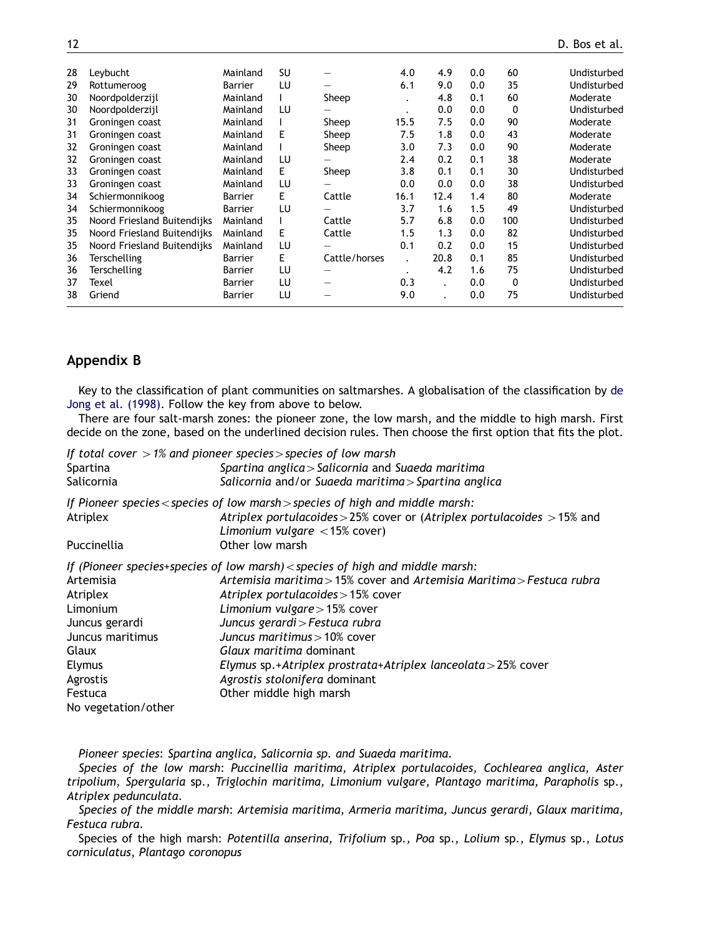| 28 | Levbucht                    | Mainland       | SU |                                | 4.0       | 4.9  | 0.0 | 60  | Undisturbed |
|----|-----------------------------|----------------|----|--------------------------------|-----------|------|-----|-----|-------------|
| 29 | Rottumeroog                 | Barrier        | LU |                                | 6.1       | 9.0  | 0.0 | 35  | Undisturbed |
| 30 | Noordpolderzijl             | Mainland       |    | Sheep                          |           | 4.8  | 0.1 | 60  | Moderate    |
| 30 | Noordpolderzijl             | Mainland       | LU |                                | $\bullet$ | 0.0  | 0.0 | 0   | Undisturbed |
| 31 | Groningen coast             | Mainland       |    | Sheep                          | 15.5      | 7.5  | 0.0 | 90  | Moderate    |
| 31 | Groningen coast             | Mainland       | Е  | Sheep                          | 7.5       | 1.8  | 0.0 | 43  | Moderate    |
| 32 | Groningen coast             | Mainland       |    | Sheep                          | 3.0       | 7.3  | 0.0 | 90  | Moderate    |
| 32 | Groningen coast             | Mainland       | LU |                                | 2.4       | 0.2  | 0.1 | 38  | Moderate    |
| 33 | Groningen coast             | Mainland       | E  | Sheep                          | 3.8       | 0.1  | 0.1 | 30  | Undisturbed |
| 33 | Groningen coast             | Mainland       | LU |                                | 0.0       | 0.0  | 0.0 | 38  | Undisturbed |
| 34 | Schiermonnikoog             | <b>Barrier</b> | E  | Cattle                         | 16.1      | 12.4 | 1.4 | 80  | Moderate    |
| 34 | Schiermonnikoog             | Barrier        | LU |                                | 3.7       | 1.6  | 1.5 | 49  | Undisturbed |
| 35 | Noord Friesland Buitendijks | Mainland       |    | Cattle                         | 5.7       | 6.8  | 0.0 | 100 | Undisturbed |
| 35 | Noord Friesland Buitendijks | Mainland       | F  | Cattle                         | 1.5       | 1.3  | 0.0 | 82  | Undisturbed |
| 35 | Noord Friesland Buitendijks | Mainland       | LU |                                | 0.1       | 0.2  | 0.0 | 15  | Undisturbed |
| 36 | Terschelling                | Barrier        | E  | Cattle/horses                  |           | 20.8 | 0.1 | 85  | Undisturbed |
| 36 | Terschelling                | Barrier        | LU | $\qquad \qquad \longleftarrow$ |           | 4.2  | 1.6 | 75  | Undisturbed |
| 37 | Texel                       | <b>Barrier</b> | LU |                                | 0.3       |      | 0.0 | 0   | Undisturbed |
| 38 | Griend                      | Barrier        | LU |                                | 9.0       |      | 0.0 | 75  | Undisturbed |
|    |                             |                |    |                                |           |      |     |     |             |

# Appendix B

Key to the classification of plant communities on saltmarshes. A globalisation of the classification by [de](#page-12-0) [Jong et al. \(1998\)](#page-12-0). Follow the key from above to below.

There are four salt-marsh zones: the pioneer zone, the low marsh, and the middle to high marsh. First decide on the zone, based on the underlined decision rules. Then choose the first option that fits the plot.

| If total cover $>1\%$ and pioneer species > species of low marsh                                             |
|--------------------------------------------------------------------------------------------------------------|
| Spartina anglica > Salicornia and Suaeda maritima                                                            |
| Salicornia and/or Suaeda maritima > Spartina anglica                                                         |
| If Pioneer species $\lt$ species of low marsh $>$ species of high and middle marsh:                          |
| Atriplex portulacoides > 25% cover or (Atriplex portulacoides $>$ 15% and<br>Limonium vulgare $<$ 15% cover) |
| Other low marsh                                                                                              |
| If (Pioneer species+species of low marsh) < species of high and middle marsh:                                |
| Artemisia maritima > 15% cover and Artemisia Maritima > Festuca rubra                                        |
| Atriplex portulacoides > 15% cover                                                                           |
| Limonium vulgare $>$ 15% cover                                                                               |
| Juncus gerardi > Festuca rubra                                                                               |
| Juncus maritimus $>10\%$ cover                                                                               |
| Glaux maritima dominant                                                                                      |
| Elymus sp.+Atriplex prostrata+Atriplex lanceolata > 25% cover                                                |
| Agrostis stolonifera dominant                                                                                |
| Other middle high marsh                                                                                      |
|                                                                                                              |
|                                                                                                              |

Pioneer species: Spartina anglica, Salicornia sp. and Suaeda maritima.

Species of the low marsh: Puccinellia maritima, Atriplex portulacoides, Cochlearea anglica, Aster tripolium, Spergularia sp., Triglochin maritima, Limonium vulgare, Plantago maritima, Parapholis sp., Atriplex pedunculata.

Species of the middle marsh: Artemisia maritima, Armeria maritima, Juncus gerardi, Glaux maritima, Festuca rubra.

Species of the high marsh: Potentilla anserina, Trifolium sp., Poa sp., Lolium sp., Elymus sp., Lotus corniculatus, Plantago coronopus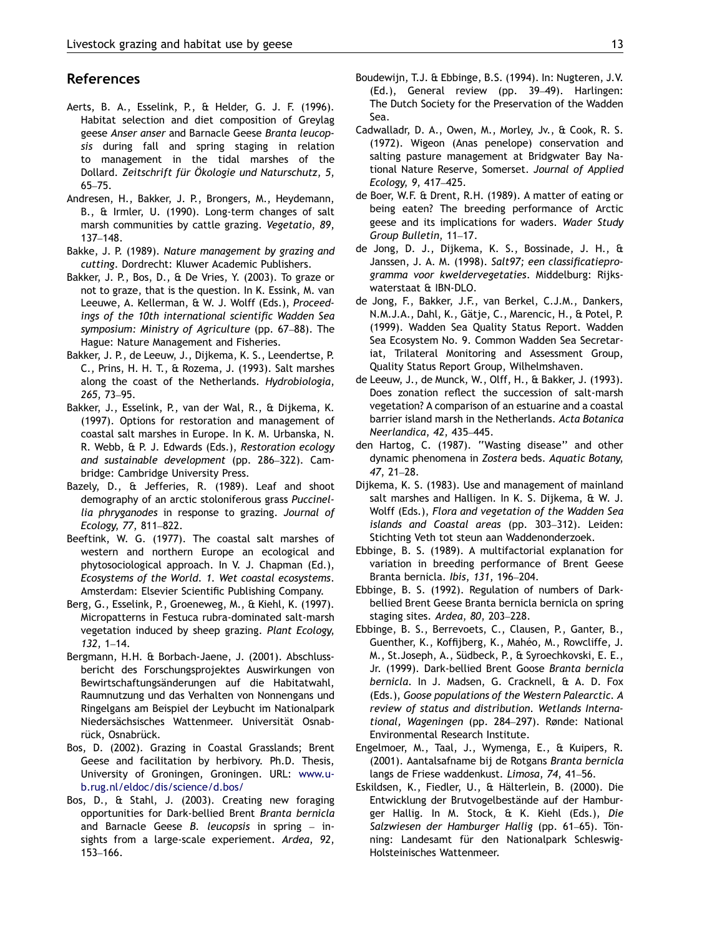## <span id="page-12-0"></span>References

- Aerts, B. A., Esselink, P., & Helder, G. J. F. (1996). Habitat selection and diet composition of Greylag geese Anser anser and Barnacle Geese Branta leucopsis during fall and spring staging in relation to management in the tidal marshes of the Dollard. Zeitschrift für Ökologie und Naturschutz, 5, 65–75.
- Andresen, H., Bakker, J. P., Brongers, M., Heydemann, B., & Irmler, U. (1990). Long-term changes of salt marsh communities by cattle grazing. Vegetatio, 89, 137–148.
- Bakke, J. P. (1989). Nature management by grazing and cutting. Dordrecht: Kluwer Academic Publishers.
- Bakker, J. P., Bos, D., & De Vries, Y. (2003). To graze or not to graze, that is the question. In K. Essink, M. van Leeuwe, A. Kellerman, & W. J. Wolff (Eds.), Proceedings of the 10th international scientific Wadden Sea symposium: Ministry of Agriculture (pp. 67–88). The Hague: Nature Management and Fisheries.
- Bakker, J. P., de Leeuw, J., Dijkema, K. S., Leendertse, P. C., Prins, H. H. T., & Rozema, J. (1993). Salt marshes along the coast of the Netherlands. Hydrobiologia, 265, 73–95.
- Bakker, J., Esselink, P., van der Wal, R., & Dijkema, K. (1997). Options for restoration and management of coastal salt marshes in Europe. In K. M. Urbanska, N. R. Webb, & P. J. Edwards (Eds.), Restoration ecology and sustainable development (pp. 286–322). Cambridge: Cambridge University Press.
- Bazely, D., & Jefferies, R. (1989). Leaf and shoot demography of an arctic stoloniferous grass Puccinellia phryganodes in response to grazing. Journal of Ecology, 77, 811–822.
- Beeftink, W. G. (1977). The coastal salt marshes of western and northern Europe an ecological and phytosociological approach. In V. J. Chapman (Ed.), Ecosystems of the World. 1. Wet coastal ecosystems. Amsterdam: Elsevier Scientific Publishing Company.
- Berg, G., Esselink, P., Groeneweg, M., & Kiehl, K. (1997). Micropatterns in Festuca rubra-dominated salt-marsh vegetation induced by sheep grazing. Plant Ecology, 132, 1–14.
- Bergmann, H.H. & Borbach-Jaene, J. (2001). Abschlussbericht des Forschungsprojektes Auswirkungen von Bewirtschaftungsänderungen auf die Habitatwahl, Raumnutzung und das Verhalten von Nonnengans und Ringelgans am Beispiel der Leybucht im Nationalpark Niedersächsisches Wattenmeer. Universität Osnabrück, Osnabrück.
- Bos, D. (2002). Grazing in Coastal Grasslands; Brent Geese and facilitation by herbivory. Ph.D. Thesis, University of Groningen, Groningen. URL: [www.u](http://www.ub.rug.nl/eldoc/dis/science/d.bos/)[b.rug.nl/eldoc/dis/science/d.bos/](http://www.ub.rug.nl/eldoc/dis/science/d.bos/)
- Bos, D., & Stahl, J. (2003). Creating new foraging opportunities for Dark-bellied Brent Branta bernicla and Barnacle Geese B. leucopsis in spring  $-$  insights from a large-scale experiement. Ardea, 92, 153–166.
- Boudewijn, T.J. & Ebbinge, B.S. (1994). In: Nugteren, J.V. (Ed.), General review (pp. 39–49). Harlingen: The Dutch Society for the Preservation of the Wadden Sea.
- Cadwalladr, D. A., Owen, M., Morley, Jv., & Cook, R. S. (1972). Wigeon (Anas penelope) conservation and salting pasture management at Bridgwater Bay National Nature Reserve, Somerset. Journal of Applied Ecology, 9, 417–425.
- de Boer, W.F. & Drent, R.H. (1989). A matter of eating or being eaten? The breeding performance of Arctic geese and its implications for waders. Wader Study Group Bulletin, 11–17.
- de Jong, D. J., Dijkema, K. S., Bossinade, J. H., & Janssen, J. A. M. (1998). Salt97; een classificatieprogramma voor kweldervegetaties. Middelburg: Rijkswaterstaat & IBN-DLO.
- de Jong, F., Bakker, J.F., van Berkel, C.J.M., Dankers, N.M.J.A., Dahl, K., Gätje, C., Marencic, H., & Potel, P. (1999). Wadden Sea Quality Status Report. Wadden Sea Ecosystem No. 9. Common Wadden Sea Secretariat, Trilateral Monitoring and Assessment Group, Quality Status Report Group, Wilhelmshaven.
- de Leeuw, J., de Munck, W., Olff, H., & Bakker, J. (1993). Does zonation reflect the succession of salt-marsh vegetation? A comparison of an estuarine and a coastal barrier island marsh in the Netherlands. Acta Botanica Neerlandica, 42, 435–445.
- den Hartog, C. (1987). ''Wasting disease'' and other dynamic phenomena in Zostera beds. Aquatic Botany, 47, 21–28.
- Dijkema, K. S. (1983). Use and management of mainland salt marshes and Halligen. In K. S. Dijkema, & W. J. Wolff (Eds.), Flora and vegetation of the Wadden Sea islands and Coastal areas (pp. 303–312). Leiden: Stichting Veth tot steun aan Waddenonderzoek.
- Ebbinge, B. S. (1989). A multifactorial explanation for variation in breeding performance of Brent Geese Branta bernicla. Ibis, 131, 196–204.
- Ebbinge, B. S. (1992). Regulation of numbers of Darkbellied Brent Geese Branta bernicla bernicla on spring staging sites. Ardea, 80, 203–228.
- Ebbinge, B. S., Berrevoets, C., Clausen, P., Ganter, B., Guenther, K., Koffijberg, K., Mahéo, M., Rowcliffe, J. M., St.Joseph, A., Südbeck, P., & Syroechkovski, E. E., Jr. (1999). Dark-bellied Brent Goose Branta bernicla bernicla. In J. Madsen, G. Cracknell, & A. D. Fox (Eds.), Goose populations of the Western Palearctic. A review of status and distribution. Wetlands International, Wageningen (pp. 284–297). Rønde: National Environmental Research Institute.
- Engelmoer, M., Taal, J., Wymenga, E., & Kuipers, R. (2001). Aantalsafname bij de Rotgans Branta bernicla langs de Friese waddenkust. Limosa, 74, 41–56.
- Eskildsen, K., Fiedler, U., & Hälterlein, B. (2000). Die Entwicklung der Brutvogelbestände auf der Hamburger Hallig. In M. Stock, & K. Kiehl (Eds.), Die Salzwiesen der Hamburger Hallig (pp. 61–65). Tönning: Landesamt für den Nationalpark Schleswig-Holsteinisches Wattenmeer.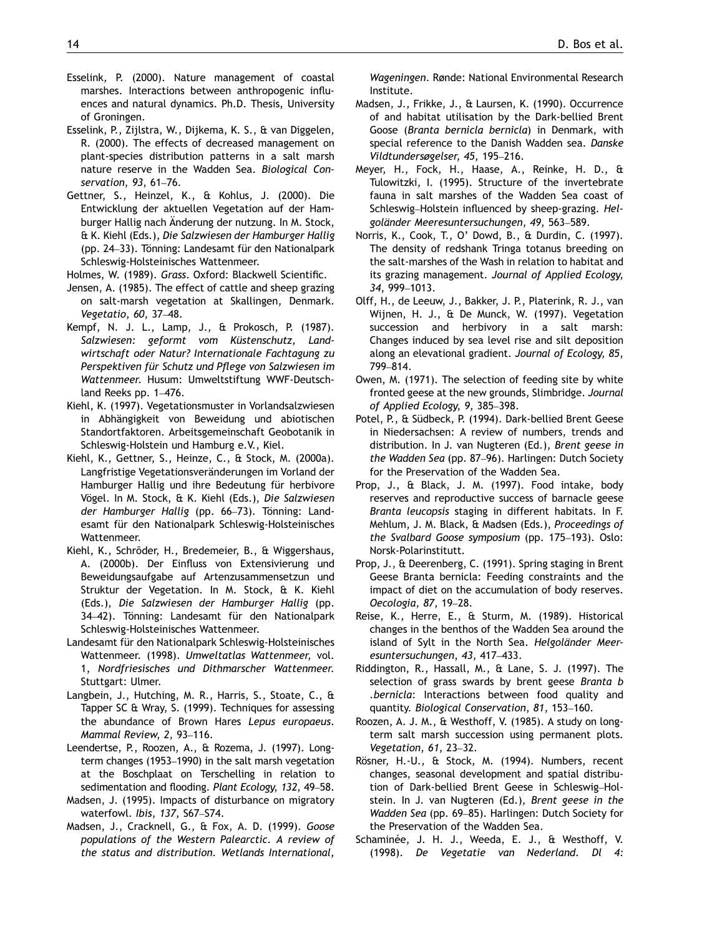- <span id="page-13-0"></span>Esselink, P. (2000). Nature management of coastal marshes. Interactions between anthropogenic influences and natural dynamics. Ph.D. Thesis, University of Groningen.
- Esselink, P., Zijlstra, W., Dijkema, K. S., & van Diggelen, R. (2000). The effects of decreased management on plant-species distribution patterns in a salt marsh nature reserve in the Wadden Sea. Biological Conservation, 93, 61–76.
- Gettner, S., Heinzel, K., & Kohlus, J. (2000). Die Entwicklung der aktuellen Vegetation auf der Hamburger Hallig nach Änderung der nutzung. In M. Stock, & K. Kiehl (Eds.), Die Salzwiesen der Hamburger Hallig (pp. 24–33). Tönning: Landesamt für den Nationalpark Schleswig-Holsteinisches Wattenmeer.

Holmes, W. (1989). Grass. Oxford: Blackwell Scientific.

- Jensen, A. (1985). The effect of cattle and sheep grazing on salt-marsh vegetation at Skallingen, Denmark. Vegetatio, 60, 37–48.
- Kempf, N. J. L., Lamp, J., & Prokosch, P. (1987). Salzwiesen: geformt vom Küstenschutz, Landwirtschaft oder Natur? Internationale Fachtagung zu Perspektiven für Schutz und Pflege von Salzwiesen im Wattenmeer. Husum: Umweltstiftung WWF-Deutschland Reeks pp. 1–476.
- Kiehl, K. (1997). Vegetationsmuster in Vorlandsalzwiesen in Abhängigkeit von Beweidung und abiotischen Standortfaktoren. Arbeitsgemeinschaft Geobotanik in Schleswig-Holstein und Hamburg e.V., Kiel.
- Kiehl, K., Gettner, S., Heinze, C., & Stock, M. (2000a). Langfristige Vegetationsveränderungen im Vorland der Hamburger Hallig und ihre Bedeutung für herbivore Vögel. In M. Stock, & K. Kiehl (Eds.), Die Salzwiesen der Hamburger Hallig (pp. 66–73). Tönning: Landesamt für den Nationalpark Schleswig-Holsteinisches Wattenmeer.
- Kiehl, K., Schrõder, H., Bredemeier, B., & Wiggershaus, A. (2000b). Der Einfluss von Extensivierung und Beweidungsaufgabe auf Artenzusammensetzun und Struktur der Vegetation. In M. Stock, & K. Kiehl (Eds.), Die Salzwiesen der Hamburger Hallig (pp. 34–42). Tönning: Landesamt für den Nationalpark Schleswig-Holsteinisches Wattenmeer.
- Landesamt für den Nationalpark Schleswig-Holsteinisches Wattenmeer. (1998). Umweltatlas Wattenmeer, vol. 1, Nordfriesisches und Dithmarscher Wattenmeer. Stuttgart: Ulmer.
- Langbein, J., Hutching, M. R., Harris, S., Stoate, C., & Tapper SC & Wray, S. (1999). Techniques for assessing the abundance of Brown Hares Lepus europaeus. Mammal Review, 2, 93–116.
- Leendertse, P., Roozen, A., & Rozema, J. (1997). Longterm changes (1953–1990) in the salt marsh vegetation at the Boschplaat on Terschelling in relation to sedimentation and flooding. Plant Ecology, 132, 49–58.
- Madsen, J. (1995). Impacts of disturbance on migratory waterfowl. Ibis, 137, S67–S74.
- Madsen, J., Cracknell, G., & Fox, A. D. (1999). Goose populations of the Western Palearctic. A review of the status and distribution. Wetlands International,

Wageningen. Rønde: National Environmental Research Institute.

- Madsen, J., Frikke, J., & Laursen, K. (1990). Occurrence of and habitat utilisation by the Dark-bellied Brent Goose (Branta bernicla bernicla) in Denmark, with special reference to the Danish Wadden sea. Danske Vildtundersøgelser, 45, 195–216.
- Meyer, H., Fock, H., Haase, A., Reinke, H. D., & Tulowitzki, I. (1995). Structure of the invertebrate fauna in salt marshes of the Wadden Sea coast of Schleswig–Holstein influenced by sheep-grazing. Helgoländer Meeresuntersuchungen, 49, 563-589.
- Norris, K., Cook, T., O' Dowd, B., & Durdin, C. (1997). The density of redshank Tringa totanus breeding on the salt-marshes of the Wash in relation to habitat and its grazing management. Journal of Applied Ecology, 34, 999–1013.
- Olff, H., de Leeuw, J., Bakker, J. P., Platerink, R. J., van Wijnen, H. J., & De Munck, W. (1997). Vegetation succession and herbivory in a salt marsh: Changes induced by sea level rise and silt deposition along an elevational gradient. Journal of Ecology, 85, 799–814.
- Owen, M. (1971). The selection of feeding site by white fronted geese at the new grounds, Slimbridge. Journal of Applied Ecology, 9, 385–398.
- Potel, P., & Südbeck, P. (1994). Dark-bellied Brent Geese in Niedersachsen: A review of numbers, trends and distribution. In J. van Nugteren (Ed.), Brent geese in the Wadden Sea (pp. 87–96). Harlingen: Dutch Society for the Preservation of the Wadden Sea.
- Prop, J., & Black, J. M. (1997). Food intake, body reserves and reproductive success of barnacle geese Branta leucopsis staging in different habitats. In F. Mehlum, J. M. Black, & Madsen (Eds.), Proceedings of the Svalbard Goose symposium (pp. 175–193). Oslo: Norsk-Polarinstitutt.
- Prop, J., & Deerenberg, C. (1991). Spring staging in Brent Geese Branta bernicla: Feeding constraints and the impact of diet on the accumulation of body reserves. Oecologia, 87, 19–28.
- Reise, K., Herre, E., & Sturm, M. (1989). Historical changes in the benthos of the Wadden Sea around the island of Sylt in the North Sea. Helgoländer Meeresuntersuchungen, 43, 417–433.
- Riddington, R., Hassall, M., & Lane, S. J. (1997). The selection of grass swards by brent geese Branta b .bernicla: Interactions between food quality and quantity. Biological Conservation, 81, 153–160.
- Roozen, A. J. M., & Westhoff, V. (1985). A study on longterm salt marsh succession using permanent plots. Vegetation, 61, 23–32.
- Rösner, H.-U., & Stock, M. (1994). Numbers, recent changes, seasonal development and spatial distribution of Dark-bellied Brent Geese in Schleswig–Holstein. In J. van Nugteren (Ed.), Brent geese in the Wadden Sea (pp. 69–85). Harlingen: Dutch Society for the Preservation of the Wadden Sea.
- Schaminée, J. H. J., Weeda, E. J., & Westhoff, V. (1998). De Vegetatie van Nederland. Dl 4: